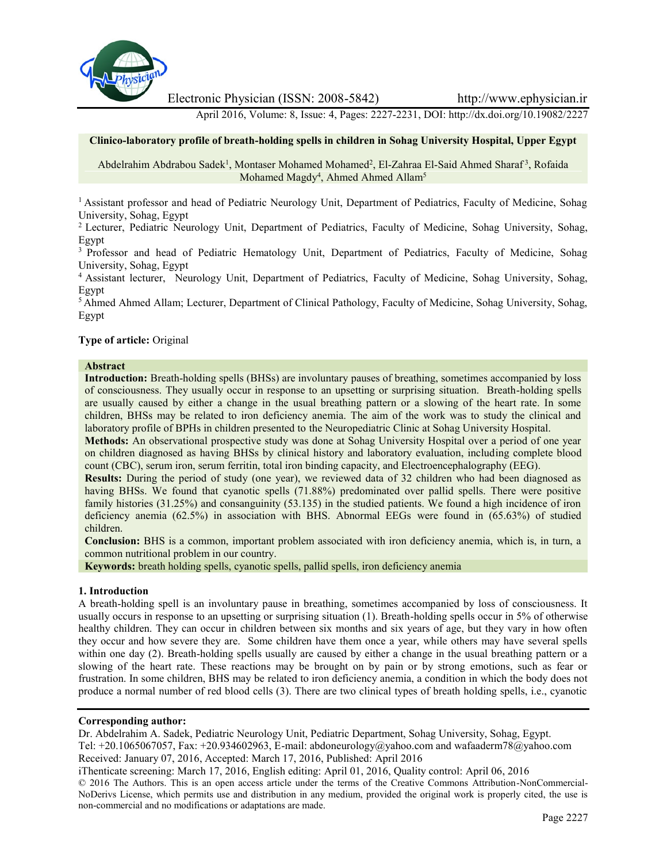

Electronic Physician (ISSN: 2008-5842) http://www.ephysician.ir

April 2016, Volume: 8, Issue: 4, Pages: 2227-2231, DOI: http://dx.doi.org/10.19082/2227

## **Clinico-laboratory profile of breath-holding spells in children in Sohag University Hospital, Upper Egypt**

Abdelrahim Abdrabou Sadek<sup>1</sup>, Montaser Mohamed Mohamed<sup>2</sup>, El-Zahraa El-Said Ahmed Sharaf<sup>3</sup>, Rofaida Mohamed Magdy<sup>4</sup>, Ahmed Ahmed Allam<sup>5</sup>

<sup>1</sup> Assistant professor and head of Pediatric Neurology Unit, Department of Pediatrics, Faculty of Medicine, Sohag University, Sohag, Egypt

<sup>2</sup> Lecturer, Pediatric Neurology Unit, Department of Pediatrics, Faculty of Medicine, Sohag University, Sohag, Egypt

<sup>3</sup> Professor and head of Pediatric Hematology Unit, Department of Pediatrics, Faculty of Medicine, Sohag University, Sohag, Egypt

<sup>4</sup> Assistant lecturer, Neurology Unit, Department of Pediatrics, Faculty of Medicine, Sohag University, Sohag, Egypt

<sup>5</sup> Ahmed Ahmed Allam; Lecturer, Department of Clinical Pathology, Faculty of Medicine, Sohag University, Sohag, Egypt

#### **Type of article:** Original

#### **Abstract**

**Introduction:** Breath-holding spells (BHSs) are involuntary pauses of breathing, sometimes accompanied by loss of consciousness. They usually occur in response to an upsetting or surprising situation. Breath-holding spells are usually caused by either a change in the usual breathing pattern or a slowing of the heart rate. In some children, BHSs may be related to iron deficiency anemia. The aim of the work was to study the clinical and laboratory profile of BPHs in children presented to the Neuropediatric Clinic at Sohag University Hospital.

**Methods:** An observational prospective study was done at Sohag University Hospital over a period of one year on children diagnosed as having BHSs by clinical history and laboratory evaluation, including complete blood count (CBC), serum iron, serum ferritin, total iron binding capacity, and Electroencephalography (EEG).

**Results:** During the period of study (one year), we reviewed data of 32 children who had been diagnosed as having BHSs. We found that cyanotic spells (71.88%) predominated over pallid spells. There were positive family histories (31.25%) and consanguinity (53.135) in the studied patients. We found a high incidence of iron deficiency anemia (62.5%) in association with BHS. Abnormal EEGs were found in (65.63%) of studied children.

**Conclusion:** BHS is a common, important problem associated with iron deficiency anemia, which is, in turn, a common nutritional problem in our country.

**Keywords:** breath holding spells, cyanotic spells, pallid spells, iron deficiency anemia

#### **1. Introduction**

A breath-holding spell is an involuntary pause in breathing, sometimes accompanied by loss of consciousness. It usually occurs in response to an upsetting or surprising situation (1). Breath-holding spells occur in 5% of otherwise healthy children. They can occur in children between six months and six years of age, but they vary in how often they occur and how severe they are. Some children have them once a year, while others may have several spells within one day (2). Breath-holding spells usually are caused by either a change in the usual breathing pattern or a slowing of the heart rate. These reactions may be brought on by pain or by strong emotions, such as fear or frustration. In some children, BHS may be related to iron deficiency anemia, a condition in which the body does not produce a normal number of red blood cells (3). There are two clinical types of breath holding spells, i.e., cyanotic

## **Corresponding author:**

Dr. Abdelrahim A. Sadek, Pediatric Neurology Unit, Pediatric Department, Sohag University, Sohag, Egypt. Tel: +20.1065067057, Fax: +20.934602963, E-mail: abdoneurology@yahoo.com and wafaaderm78@yahoo.com Received: January 07, 2016, Accepted: March 17, 2016, Published: April 2016

iThenticate screening: March 17, 2016, English editing: April 01, 2016, Quality control: April 06, 2016 © 2016 The Authors. This is an open access article under the terms of the Creative Commons Attribution-NonCommercial- NoDerivs License, which permits use and distribution in any medium, provided the original work is properly cited, the use is non-commercial and no modifications or adaptations are made.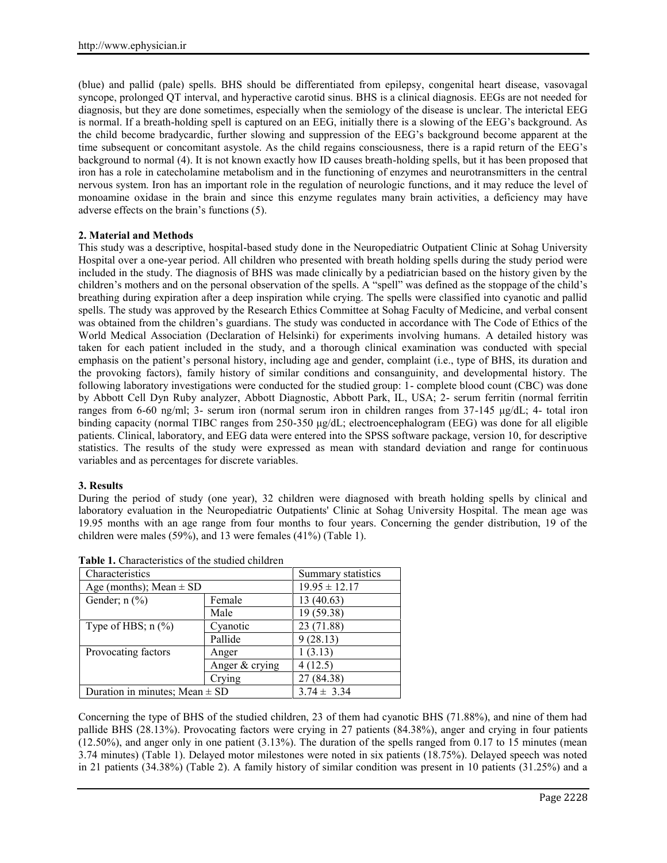(blue) and pallid (pale) spells. BHS should be differentiated from epilepsy, congenital heart disease, vasovagal syncope, prolonged QT interval, and hyperactive carotid sinus. BHS is a clinical diagnosis. EEGs are not needed for diagnosis, but they are done sometimes, especially when the semiology of the disease is unclear. The interictal EEG is normal. If a breath-holding spell is captured on an EEG, initially there is a slowing of the EEG's background. As the child become bradycardic, further slowing and suppression of the EEG's background become apparent at the time subsequent or concomitant asystole. As the child regains consciousness, there is a rapid return of the EEG's background to normal (4). It is not known exactly how ID causes breath-holding spells, but it has been proposed that iron has a role in catecholamine metabolism and in the functioning of enzymes and neurotransmitters in the central nervous system. Iron has an important role in the regulation of neurologic functions, and it may reduce the level of monoamine oxidase in the brain and since this enzyme regulates many brain activities, a deficiency may have adverse effects on the brain's functions (5).

# **2. Material and Methods**

This study was a descriptive, hospital-based study done in the Neuropediatric Outpatient Clinic at Sohag University Hospital over a one-year period. All children who presented with breath holding spells during the study period were included in the study. The diagnosis of BHS was made clinically by a pediatrician based on the history given by the children's mothers and on the personal observation of the spells. A "spell" was defined as the stoppage of the child's breathing during expiration after a deep inspiration while crying. The spells were classified into cyanotic and pallid spells. The study was approved by the Research Ethics Committee at Sohag Faculty of Medicine, and verbal consent was obtained from the children's guardians. The study was conducted in accordance with The Code of Ethics of the World Medical Association (Declaration of Helsinki) for experiments involving humans. A detailed history was taken for each patient included in the study, and a thorough clinical examination was conducted with special emphasis on the patient's personal history, including age and gender, complaint (i.e., type of BHS, its duration and the provoking factors), family history of similar conditions and consanguinity, and developmental history. The following laboratory investigations were conducted for the studied group: 1- complete blood count (CBC) was done by Abbott Cell Dyn Ruby analyzer, Abbott Diagnostic, Abbott Park, IL, USA; 2- serum ferritin (normal ferritin ranges from 6-60 ng/ml; 3- serum iron (normal serum iron in children ranges from 37-145 μg/dL; 4- total iron binding capacity (normal TIBC ranges from 250-350 μg/dL; electroencephalogram (EEG) was done for all eligible patients. Clinical, laboratory, and EEG data were entered into the SPSS software package, version 10, for descriptive statistics. The results of the study were expressed as mean with standard deviation and range for continuous variables and as percentages for discrete variables.

# **3. Results**

During the period of study (one year), 32 children were diagnosed with breath holding spells by clinical and laboratory evaluation in the Neuropediatric Outpatients' Clinic at Sohag University Hospital. The mean age was 19.95 months with an age range from four months to four years. Concerning the gender distribution, 19 of the children were males (59%), and 13 were females (41%) (Table 1).

| Characteristics                    |                  | Summary statistics |  |
|------------------------------------|------------------|--------------------|--|
| Age (months); Mean $\pm$ SD        |                  | $19.95 \pm 12.17$  |  |
| Gender; $n$ $(\%)$<br>Female       |                  | 13(40.63)          |  |
|                                    | Male             | 19 (59.38)         |  |
| Type of HBS; $n$ $(\%)$            | Cyanotic         | 23 (71.88)         |  |
|                                    | Pallide          | 9(28.13)           |  |
| Provocating factors                | Anger            | 1(3.13)            |  |
|                                    | Anger $&$ crying | 4(12.5)            |  |
|                                    | Crying           | 27 (84.38)         |  |
| Duration in minutes; Mean $\pm$ SD |                  | $3.74 \pm 3.34$    |  |

**Table 1.** Characteristics of the studied children

Concerning the type of BHS of the studied children, 23 of them had cyanotic BHS (71.88%), and nine of them had pallide BHS (28.13%). Provocating factors were crying in 27 patients (84.38%), anger and crying in four patients (12.50%), and anger only in one patient (3.13%). The duration of the spells ranged from 0.17 to 15 minutes (mean 3.74 minutes) (Table 1). Delayed motor milestones were noted in six patients (18.75%). Delayed speech was noted in 21 patients (34.38%) (Table 2). A family history of similar condition was present in 10 patients (31.25%) and a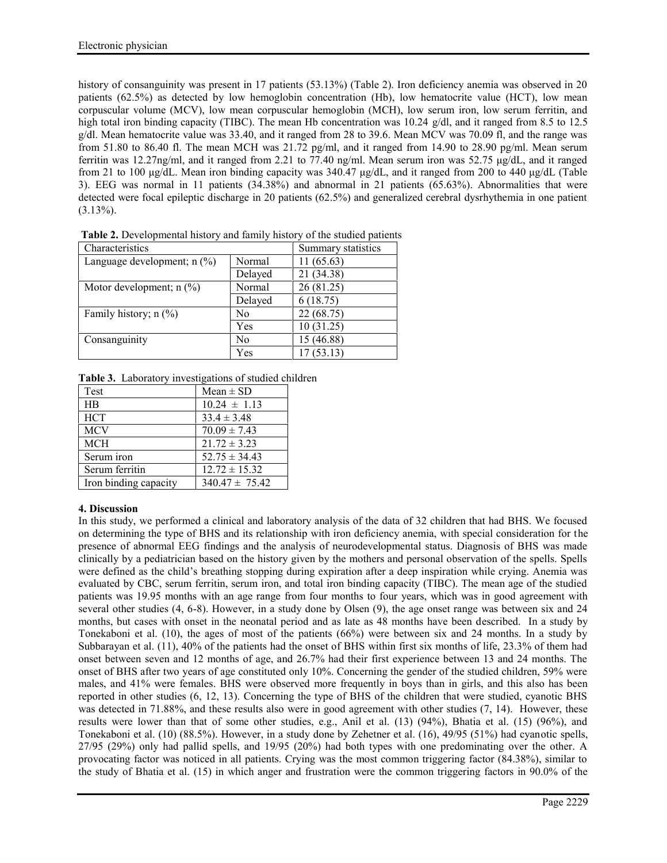history of consanguinity was present in 17 patients (53.13%) (Table 2). Iron deficiency anemia was observed in 20 patients (62.5%) as detected by low hemoglobin concentration (Hb), low hematocrite value (HCT), low mean corpuscular volume (MCV), low mean corpuscular hemoglobin (MCH), low serum iron, low serum ferritin, and high total iron binding capacity (TIBC). The mean Hb concentration was 10.24 g/dl, and it ranged from 8.5 to 12.5 g/dl. Mean hematocrite value was 33.40, and it ranged from 28 to 39.6. Mean MCV was 70.09 fl, and the range was from 51.80 to 86.40 fl. The mean MCH was 21.72 pg/ml, and it ranged from 14.90 to 28.90 pg/ml. Mean serum ferritin was 12.27ng/ml, and it ranged from 2.21 to 77.40 ng/ml. Mean serum iron was 52.75 μg/dL, and it ranged from 21 to 100 μg/dL. Mean iron binding capacity was 340.47 μg/dL, and it ranged from 200 to 440 μg/dL (Table 3). EEG was normal in 11 patients (34.38%) and abnormal in 21 patients (65.63%). Abnormalities that were detected were focal epileptic discharge in 20 patients (62.5%) and generalized cerebral dysrhythemia in one patient  $(3.13\%)$ .

| Characteristics                                      |         | Summary statistics |
|------------------------------------------------------|---------|--------------------|
| Language development; $n$ $\left(\frac{9}{6}\right)$ | Normal  | 11(65.63)          |
|                                                      | Delayed | 21 (34.38)         |
| Motor development; $n$ (%)                           | Normal  | 26 (81.25)         |
|                                                      | Delayed | 6(18.75)           |
| Family history; $n$ (%)                              | No      | 22 (68.75)         |
|                                                      | Yes     | 10(31.25)          |
| Consanguinity                                        | No      | 15 (46.88)         |
|                                                      | Yes     | 17(53.13)          |

**Table 2.** Developmental history and family history of the studied patients

|  | Table 3. Laboratory investigations of studied children |  |
|--|--------------------------------------------------------|--|
|  |                                                        |  |

| Test                  | $Mean \pm SD$      |
|-----------------------|--------------------|
| HR                    | $10.24 \pm 1.13$   |
| <b>HCT</b>            | $33.4 \pm 3.48$    |
| <b>MCV</b>            | $70.09 \pm 7.43$   |
| <b>MCH</b>            | $21.72 \pm 3.23$   |
| Serum iron            | $52.75 \pm 34.43$  |
| Serum ferritin        | $12.72 \pm 15.32$  |
| Iron binding capacity | $340.47 \pm 75.42$ |

# **4. Discussion**

In this study, we performed a clinical and laboratory analysis of the data of 32 children that had BHS. We focused on determining the type of BHS and its relationship with iron deficiency anemia, with special consideration for the presence of abnormal EEG findings and the analysis of neurodevelopmental status. Diagnosis of BHS was made clinically by a pediatrician based on the history given by the mothers and personal observation of the spells. Spells were defined as the child's breathing stopping during expiration after a deep inspiration while crying. Anemia was evaluated by CBC, serum ferritin, serum iron, and total iron binding capacity (TIBC). The mean age of the studied patients was 19.95 months with an age range from four months to four years, which was in good agreement with several other studies (4, 6-8). However, in a study done by Olsen (9), the age onset range was between six and 24 months, but cases with onset in the neonatal period and as late as 48 months have been described. In a study by Tonekaboni et al. (10), the ages of most of the patients (66%) were between six and 24 months. In a study by Subbarayan et al. (11), 40% of the patients had the onset of BHS within first six months of life, 23.3% of them had onset between seven and 12 months of age, and 26.7% had their first experience between 13 and 24 months. The onset of BHS after two years of age constituted only 10%. Concerning the gender of the studied children, 59% were males, and 41% were females. BHS were observed more frequently in boys than in girls, and this also has been reported in other studies (6, 12, 13). Concerning the type of BHS of the children that were studied, cyanotic BHS was detected in 71.88%, and these results also were in good agreement with other studies (7, 14). However, these results were lower than that of some other studies, e.g., Anil et al. (13) (94%), Bhatia et al. (15) (96%), and Tonekaboni et al. (10) (88.5%). However, in a study done by Zehetner et al. (16), 49/95 (51%) had cyanotic spells, 27/95 (29%) only had pallid spells, and 19/95 (20%) had both types with one predominating over the other. A provocating factor was noticed in all patients. Crying was the most common triggering factor (84.38%), similar to the study of Bhatia et al. (15) in which anger and frustration were the common triggering factors in 90.0% of the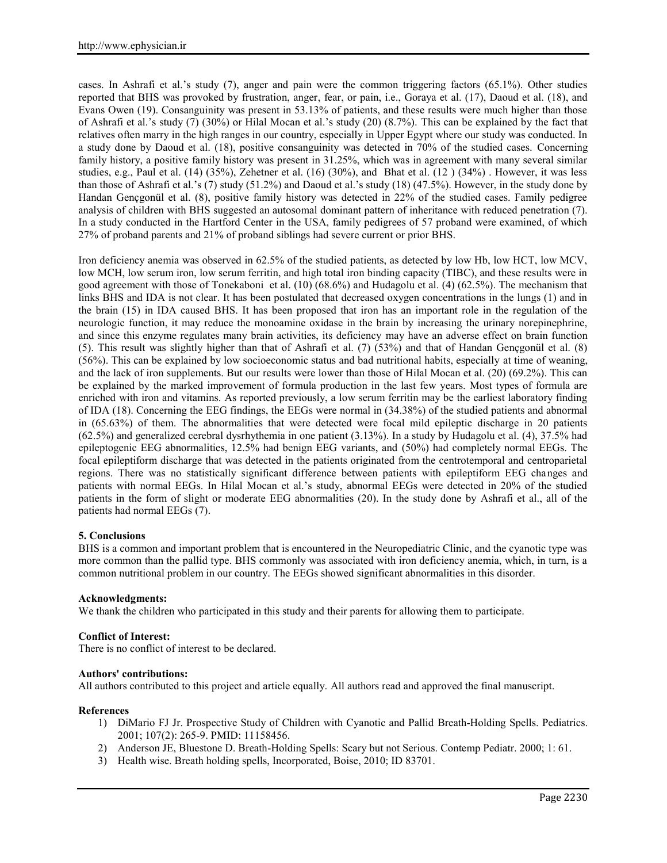cases. In Ashrafi et al.'s study (7), anger and pain were the common triggering factors (65.1%). Other studies reported that BHS was provoked by frustration, anger, fear, or pain, i.e., Goraya et al. (17), Daoud et al. (18), and Evans Owen (19). Consanguinity was present in 53.13% of patients, and these results were much higher than those of Ashrafi et al.'s study (7) (30%) or Hilal Mocan et al.'s study (20) (8.7%). This can be explained by the fact that relatives often marry in the high ranges in our country, especially in Upper Egypt where our study was conducted. In a study done by Daoud et al. (18), positive consanguinity was detected in 70% of the studied cases. Concerning family history, a positive family history was present in 31.25%, which was in agreement with many several similar studies, e.g., Paul et al. (14) (35%), Zehetner et al. (16) (30%), and Bhat et al. (12 ) (34%) . However, it was less than those of Ashrafi et al.'s (7) study (51.2%) and Daoud et al.'s study (18) (47.5%). However, in the study done by Handan Gençgonül et al. (8), positive family history was detected in 22% of the studied cases. Family pedigree analysis of children with BHS suggested an autosomal dominant pattern of inheritance with reduced penetration (7). In a study conducted in the Hartford Center in the USA, family pedigrees of 57 proband were examined, of which 27% of proband parents and 21% of proband siblings had severe current or prior BHS.

Iron deficiency anemia was observed in 62.5% of the studied patients, as detected by low Hb, low HCT, low MCV, low MCH, low serum iron, low serum ferritin, and high total iron binding capacity (TIBC), and these results were in good agreement with those of Tonekaboni et al. (10) (68.6%) and Hudagolu et al. (4) (62.5%). The mechanism that links BHS and IDA is not clear. It has been postulated that decreased oxygen concentrations in the lungs (1) and in the brain (15) in IDA caused BHS. It has been proposed that iron has an important role in the regulation of the neurologic function, it may reduce the monoamine oxidase in the brain by increasing the urinary norepinephrine, and since this enzyme regulates many brain activities, its deficiency may have an adverse effect on brain function (5). This result was slightly higher than that of Ashrafi et al. (7) (53%) and that of Handan Gençgonül et al. (8) (56%). This can be explained by low socioeconomic status and bad nutritional habits, especially at time of weaning, and the lack of iron supplements. But our results were lower than those of Hilal Mocan et al. (20) (69.2%). This can be explained by the marked improvement of formula production in the last few years. Most types of formula are enriched with iron and vitamins. As reported previously, a low serum ferritin may be the earliest laboratory finding of IDA (18). Concerning the EEG findings, the EEGs were normal in (34.38%) of the studied patients and abnormal in (65.63%) of them. The abnormalities that were detected were focal mild epileptic discharge in 20 patients (62.5%) and generalized cerebral dysrhythemia in one patient (3.13%). In a study by Hudagolu et al. (4), 37.5% had epileptogenic EEG abnormalities, 12.5% had benign EEG variants, and (50%) had completely normal EEGs. The focal epileptiform discharge that was detected in the patients originated from the centrotemporal and centroparietal regions. There was no statistically significant difference between patients with epileptiform EEG changes and patients with normal EEGs. In Hilal Mocan et al.'s study, abnormal EEGs were detected in 20% of the studied patients in the form of slight or moderate EEG abnormalities (20). In the study done by Ashrafi et al., all of the patients had normal EEGs (7).

# **5. Conclusions**

BHS is a common and important problem that is encountered in the Neuropediatric Clinic, and the cyanotic type was more common than the pallid type. BHS commonly was associated with iron deficiency anemia, which, in turn, is a common nutritional problem in our country. The EEGs showed significant abnormalities in this disorder.

## **Acknowledgments:**

We thank the children who participated in this study and their parents for allowing them to participate.

## **Conflict of Interest:**

There is no conflict of interest to be declared.

## **Authors' contributions:**

All authors contributed to this project and article equally. All authors read and approved the final manuscript.

## **References**

- 1) DiMario FJ Jr. Prospective Study of Children with Cyanotic and Pallid Breath-Holding Spells. Pediatrics. 2001; 107(2): 265-9. PMID: 11158456.
- 2) Anderson JE, Bluestone D. Breath-Holding Spells: Scary but not Serious. Contemp Pediatr. 2000; 1: 61.
- 3) Health wise. Breath holding spells, Incorporated, Boise, 2010; ID 83701.